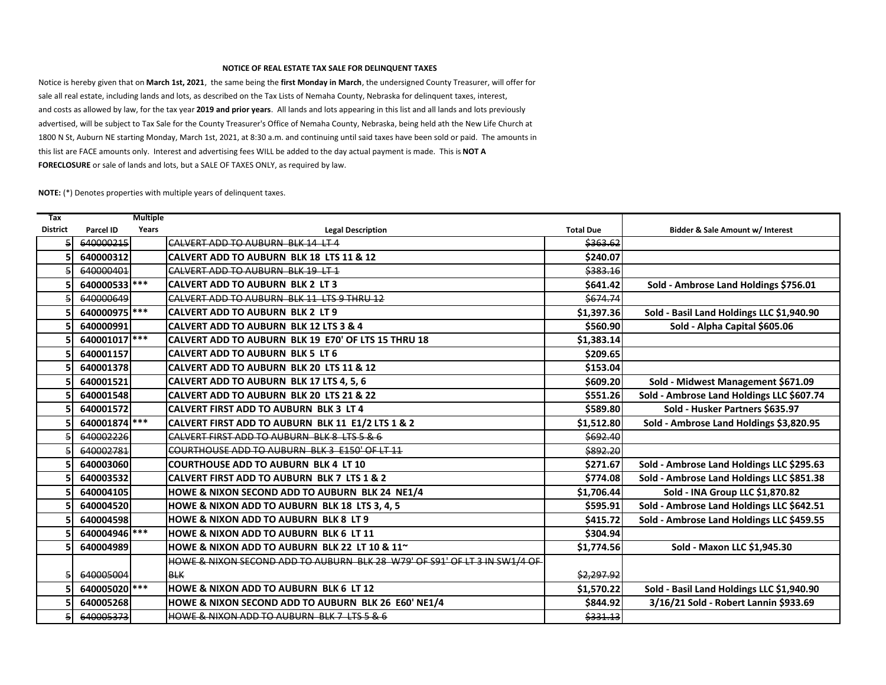## **NOTICE OF REAL ESTATE TAX SALE FOR DELINQUENT TAXES**

this list are FACE amounts only. Interest and advertising fees WILL be added to the day actual payment is made. This is **NOT A FORECLOSURE** or sale of lands and lots, but a SALE OF TAXES ONLY, as required by law. Notice is hereby given that on **March 1st, 2021**, the same being the **first Monday in March**, the undersigned County Treasurer, will offer for sale all real estate, including lands and lots, as described on the Tax Lists of Nemaha County, Nebraska for delinquent taxes, interest, and costs as allowed by law, for the tax year **2019 and prior years**. All lands and lots appearing in this list and all lands and lots previously advertised, will be subject to Tax Sale for the County Treasurer's Office of Nemaha County, Nebraska, being held ath the New Life Church at 1800 N St, Auburn NE starting Monday, March 1st, 2021, at 8:30 a.m. and continuing until said taxes have been sold or paid. The amounts in

**NOTE:** (\*) Denotes properties with multiple years of delinquent taxes.

| <b>Tax</b>      |                  | <b>Multiple</b> |                                                                           |                  |                                           |
|-----------------|------------------|-----------------|---------------------------------------------------------------------------|------------------|-------------------------------------------|
| <b>District</b> | <b>Parcel ID</b> | Years           | <b>Legal Description</b>                                                  | <b>Total Due</b> | Bidder & Sale Amount w/ Interest          |
|                 | 640000215        |                 | CALVERT ADD TO AUBURN BLK 14 LT 4                                         | \$363.62         |                                           |
|                 | 640000312        |                 | CALVERT ADD TO AUBURN BLK 18 LTS 11 & 12                                  | \$240.07         |                                           |
|                 | 640000401        |                 | CALVERT ADD TO AUBURN BLK 19 LT 1                                         | \$383.16         |                                           |
|                 | 640000533        |                 | <b>CALVERT ADD TO AUBURN BLK 2 LT 3</b>                                   | \$641.42         | Sold - Ambrose Land Holdings \$756.01     |
|                 | 640000649        |                 | CALVERT ADD TO AUBURN BLK 11 LTS 9 THRU 12                                | \$674.74         |                                           |
|                 | 640000975        |                 | <b>CALVERT ADD TO AUBURN BLK 2 LT 9</b>                                   | \$1,397.36       | Sold - Basil Land Holdings LLC \$1,940.90 |
|                 | 640000991        |                 | <b>CALVERT ADD TO AUBURN BLK 12 LTS 3 &amp; 4</b>                         | \$560.90         | Sold - Alpha Capital \$605.06             |
|                 | 640001017 ***    |                 | CALVERT ADD TO AUBURN BLK 19 E70' OF LTS 15 THRU 18                       | \$1,383.14       |                                           |
|                 | 640001157        |                 | CALVERT ADD TO AUBURN BLK 5 LT 6                                          | \$209.65         |                                           |
|                 | 640001378        |                 | <b>CALVERT ADD TO AUBURN BLK 20 LTS 11 &amp; 12</b>                       | \$153.04         |                                           |
|                 | 640001521        |                 | CALVERT ADD TO AUBURN BLK 17 LTS 4, 5, 6                                  | \$609.20         | Sold - Midwest Management \$671.09        |
|                 | 640001548        |                 | CALVERT ADD TO AUBURN BLK 20 LTS 21 & 22                                  | \$551.26         | Sold - Ambrose Land Holdings LLC \$607.74 |
|                 | 640001572        |                 | <b>CALVERT FIRST ADD TO AUBURN BLK 3 LT 4</b>                             | \$589.80         | Sold - Husker Partners \$635.97           |
|                 | 640001874        |                 | CALVERT FIRST ADD TO AUBURN BLK 11 E1/2 LTS 1 & 2                         | \$1,512.80       | Sold - Ambrose Land Holdings \$3,820.95   |
|                 | 640002226        |                 | CALVERT FIRST ADD TO AUBURN BLK 8 LTS 5 & 6                               | \$692.40         |                                           |
|                 | 640002781        |                 | COURTHOUSE ADD TO AUBURN BLK 3 E150' OF LT 11                             | \$892.20         |                                           |
|                 | 640003060        |                 | <b>COURTHOUSE ADD TO AUBURN BLK 4 LT 10</b>                               | \$271.67         | Sold - Ambrose Land Holdings LLC \$295.63 |
|                 | 640003532        |                 | <b>CALVERT FIRST ADD TO AUBURN BLK 7 LTS 1 &amp; 2</b>                    | \$774.08         | Sold - Ambrose Land Holdings LLC \$851.38 |
|                 | 640004105        |                 | HOWE & NIXON SECOND ADD TO AUBURN BLK 24 NE1/4                            | \$1,706.44       | Sold - INA Group LLC \$1,870.82           |
|                 | 640004520        |                 | HOWE & NIXON ADD TO AUBURN BLK 18 LTS 3, 4, 5                             | \$595.91         | Sold - Ambrose Land Holdings LLC \$642.51 |
|                 | 640004598        |                 | HOWE & NIXON ADD TO AUBURN BLK 8 LT 9                                     | \$415.72         | Sold - Ambrose Land Holdings LLC \$459.55 |
|                 | 640004946 ***    |                 | <b>HOWE &amp; NIXON ADD TO AUBURN BLK 6 LT 11</b>                         | \$304.94         |                                           |
|                 | 640004989        |                 | HOWE & NIXON ADD TO AUBURN BLK 22 LT 10 & 11~                             | \$1,774.56       | Sold - Maxon LLC \$1,945.30               |
|                 |                  |                 | HOWE & NIXON SECOND ADD TO AUBURN BLK 28 W79' OF S91' OF LT 3 IN SW1/4 OF |                  |                                           |
|                 | 640005004        |                 | <b>BLK</b>                                                                | \$2,297.92       |                                           |
|                 | 640005020 ***    |                 | <b>HOWE &amp; NIXON ADD TO AUBURN BLK 6 LT 12</b>                         | \$1,570.22       | Sold - Basil Land Holdings LLC \$1,940.90 |
|                 | 640005268        |                 | HOWE & NIXON SECOND ADD TO AUBURN BLK 26 E60' NE1/4                       | \$844.92         | 3/16/21 Sold - Robert Lannin \$933.69     |
|                 | 640005373        |                 | HOWE & NIXON ADD TO AUBURN BLK 7 LTS 5 & 6                                | \$331.13         |                                           |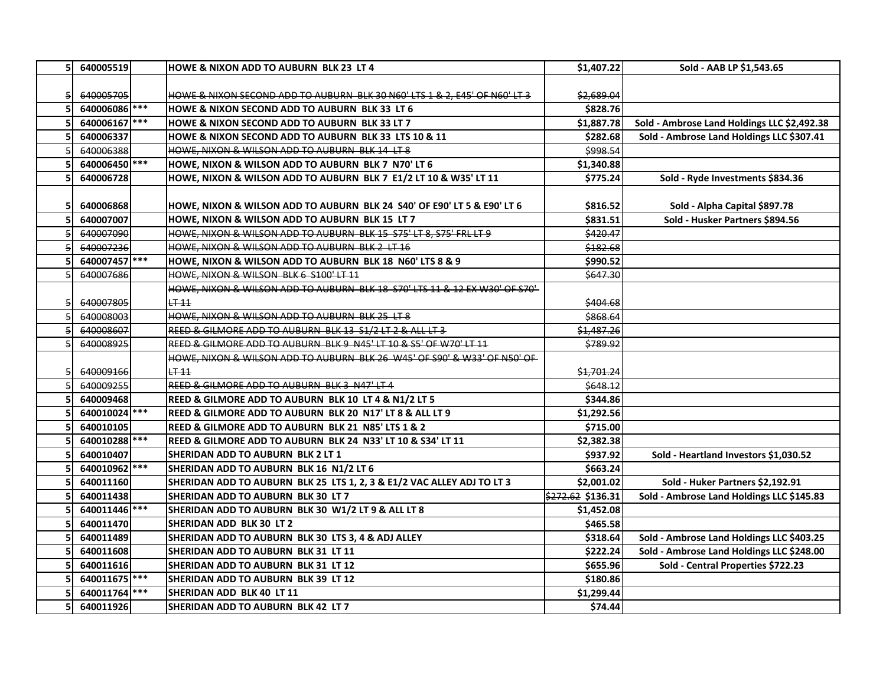|   | 640005519     | <b>HOWE &amp; NIXON ADD TO AUBURN BLK 23 LT 4</b>                          | \$1,407.22               | Sold - AAB LP \$1,543.65                    |
|---|---------------|----------------------------------------------------------------------------|--------------------------|---------------------------------------------|
|   | 640005705     | HOWE & NIXON SECOND ADD TO AUBURN BLK 30 N60' LTS 1 & 2, E45' OF N60' LT 3 | \$2,689.04               |                                             |
|   | 640006086 *** | <b>HOWE &amp; NIXON SECOND ADD TO AUBURN BLK 33 LT 6</b>                   | \$828.76                 |                                             |
|   | 640006167 *** | HOWE & NIXON SECOND ADD TO AUBURN BLK 33 LT 7                              | \$1,887.78               | Sold - Ambrose Land Holdings LLC \$2,492.38 |
|   | 640006337     | HOWE & NIXON SECOND ADD TO AUBURN BLK 33 LTS 10 & 11                       | \$282.68                 | Sold - Ambrose Land Holdings LLC \$307.41   |
|   | 640006388     | HOWE, NIXON & WILSON ADD TO AUBURN BLK 14 LT 8                             | \$998.54                 |                                             |
|   | 640006450     | HOWE, NIXON & WILSON ADD TO AUBURN BLK 7 N70' LT 6                         | \$1,340.88               |                                             |
|   | 640006728     | HOWE, NIXON & WILSON ADD TO AUBURN BLK 7 E1/2 LT 10 & W35' LT 11           | \$775.24                 | Sold - Ryde Investments \$834.36            |
|   |               |                                                                            |                          |                                             |
|   | 640006868     | HOWE, NIXON & WILSON ADD TO AUBURN BLK 24 S40' OF E90' LT 5 & E90' LT 6    | \$816.52                 | Sold - Alpha Capital \$897.78               |
|   | 640007007     | HOWE, NIXON & WILSON ADD TO AUBURN BLK 15 LT 7                             | \$831.51                 | Sold - Husker Partners \$894.56             |
|   | 640007090     | HOWE, NIXON & WILSON ADD TO AUBURN BLK 15 S75' LT 8, S75' FRL LT 9         | \$420.47                 |                                             |
| 5 | 640007236     | HOWE, NIXON & WILSON ADD TO AUBURN BLK 2 LT 16                             | \$182.68                 |                                             |
|   | 640007457     | HOWE, NIXON & WILSON ADD TO AUBURN BLK 18 N60' LTS 8 & 9                   | \$990.52                 |                                             |
| 5 | 640007686     | HOWE, NIXON & WILSON BLK 6 S100' LT 11                                     | \$647.30                 |                                             |
|   |               | HOWE, NIXON & WILSON ADD TO AUBURN BLK 18 S70' LTS 11 & 12 EX W30' OF S70' |                          |                                             |
| 5 | 640007805     | $LT-11$                                                                    | \$404.68                 |                                             |
|   | 640008003     | HOWE, NIXON & WILSON ADD TO AUBURN BLK 25 LT 8                             | \$868.64                 |                                             |
|   | 640008607     | REED & GILMORE ADD TO AUBURN BLK 13 S1/2 LT 2 & ALL LT 3                   | \$1,487.26               |                                             |
|   | 640008925     | REED & GILMORE ADD TO AUBURN BLK 9 N45' LT 10 & S5' OF W70' LT 11          | <u>\$789.92</u>          |                                             |
|   |               | HOWE, NIXON & WILSON ADD TO AUBURN BLK 26 W45' OF S90' & W33' OF N50' OF   |                          |                                             |
|   | 640009166     | $LT-11$                                                                    | \$1,701.24               |                                             |
| 5 | 640009255     | REED & GILMORE ADD TO AUBURN BLK 3 N47' LT 4                               | \$648.12                 |                                             |
|   | 640009468     | REED & GILMORE ADD TO AUBURN BLK 10 LT 4 & N1/2 LT 5                       | \$344.86                 |                                             |
|   | 640010024     | REED & GILMORE ADD TO AUBURN BLK 20 N17' LT 8 & ALL LT 9                   | \$1,292.56               |                                             |
|   | 640010105     | REED & GILMORE ADD TO AUBURN BLK 21 N85' LTS 1 & 2                         | \$715.00                 |                                             |
|   | 640010288     | REED & GILMORE ADD TO AUBURN BLK 24 N33' LT 10 & S34' LT 11                | \$2,382.38               |                                             |
|   | 640010407     | SHERIDAN ADD TO AUBURN BLK 2 LT 1                                          | \$937.92                 | Sold - Heartland Investors \$1,030.52       |
|   | 640010962 *** | SHERIDAN ADD TO AUBURN BLK 16 N1/2 LT 6                                    | \$663.24                 |                                             |
|   | 640011160     | SHERIDAN ADD TO AUBURN BLK 25 LTS 1, 2, 3 & E1/2 VAC ALLEY ADJ TO LT 3     | \$2,001.02               | Sold - Huker Partners \$2,192.91            |
|   | 640011438     | SHERIDAN ADD TO AUBURN BLK 30 LT 7                                         | $\sqrt{272.62}$ \$136.31 | Sold - Ambrose Land Holdings LLC \$145.83   |
|   | 640011446     | SHERIDAN ADD TO AUBURN BLK 30 W1/2 LT 9 & ALL LT 8                         | \$1,452.08               |                                             |
|   | 640011470     | SHERIDAN ADD BLK 30 LT 2                                                   | \$465.58                 |                                             |
|   | 640011489     | SHERIDAN ADD TO AUBURN BLK 30 LTS 3, 4 & ADJ ALLEY                         | \$318.64                 | Sold - Ambrose Land Holdings LLC \$403.25   |
|   | 640011608     | SHERIDAN ADD TO AUBURN BLK 31 LT 11                                        | \$222.24                 | Sold - Ambrose Land Holdings LLC \$248.00   |
|   | 640011616     | SHERIDAN ADD TO AUBURN BLK 31 LT 12                                        | \$655.96                 | Sold - Central Properties \$722.23          |
|   | 640011675     | SHERIDAN ADD TO AUBURN BLK 39 LT 12                                        | \$180.86                 |                                             |
|   | 640011764     | SHERIDAN ADD BLK 40 LT 11                                                  | \$1,299.44               |                                             |
| 5 | 640011926     | SHERIDAN ADD TO AUBURN BLK 42 LT 7                                         | \$74.44                  |                                             |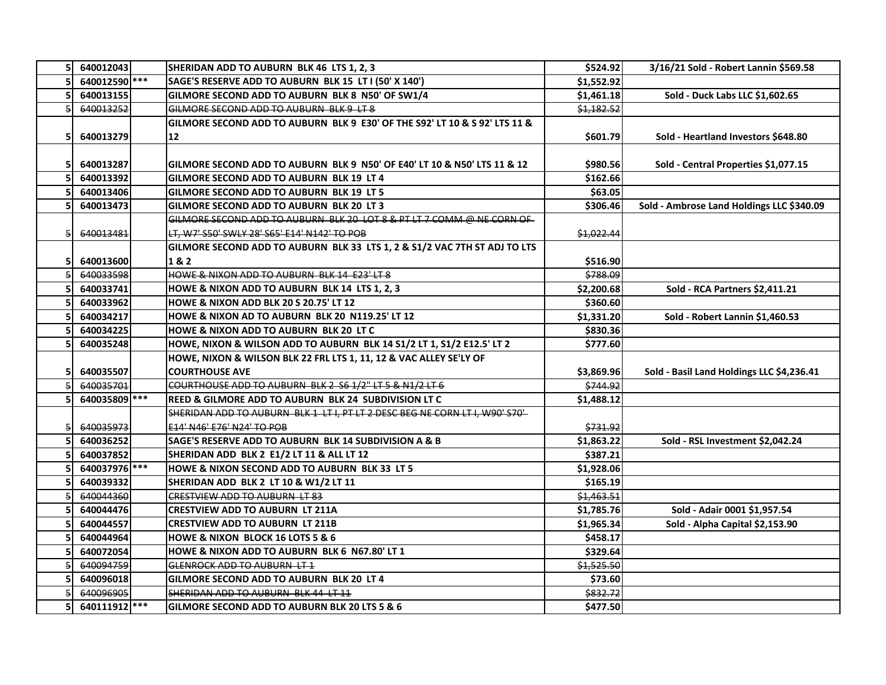| 5 <sub>1</sub> | 640012043     | SHERIDAN ADD TO AUBURN BLK 46 LTS 1, 2, 3                                    | \$524.92                        | 3/16/21 Sold - Robert Lannin \$569.58     |
|----------------|---------------|------------------------------------------------------------------------------|---------------------------------|-------------------------------------------|
|                | 640012590 *** | SAGE'S RESERVE ADD TO AUBURN BLK 15 LT I (50' X 140')                        | \$1,552.92                      |                                           |
|                | 640013155     | GILMORE SECOND ADD TO AUBURN BLK 8 N50' OF SW1/4                             | \$1,461.18                      | Sold - Duck Labs LLC \$1,602.65           |
| 5              | 640013252     | GILMORE SECOND ADD TO AUBURN BLK 9 LT 8                                      | \$1,182.52                      |                                           |
|                |               | GILMORE SECOND ADD TO AUBURN BLK 9 E30' OF THE S92' LT 10 & S 92' LTS 11 &   |                                 |                                           |
| 51             | 640013279     | 12                                                                           | \$601.79                        | Sold - Heartland Investors \$648.80       |
|                |               |                                                                              |                                 |                                           |
| 51             | 640013287     | GILMORE SECOND ADD TO AUBURN BLK 9 N50' OF E40' LT 10 & N50' LTS 11 & 12     | \$980.56                        | Sold - Central Properties \$1,077.15      |
|                | 640013392     | GILMORE SECOND ADD TO AUBURN BLK 19 LT 4                                     | \$162.66                        |                                           |
| 5              | 640013406     | GILMORE SECOND ADD TO AUBURN BLK 19 LT 5                                     | \$63.05                         |                                           |
|                | 640013473     | GILMORE SECOND ADD TO AUBURN BLK 20 LT 3                                     | \$306.46                        | Sold - Ambrose Land Holdings LLC \$340.09 |
|                |               | GILMORE SECOND ADD TO AUBURN BLK 20 LOT 8 & PT LT 7 COMM @ NE CORN OF        |                                 |                                           |
| 5              | 640013481     | LT, W7' S50' SWLY 28' S65' E14' N142' TO POB                                 | \$1,022.44                      |                                           |
|                |               | GILMORE SECOND ADD TO AUBURN BLK 33 LTS 1, 2 & S1/2 VAC 7TH ST ADJ TO LTS    |                                 |                                           |
| 5              | 640013600     | 1&2                                                                          | \$516.90                        |                                           |
|                | 640033598     | HOWE & NIXON ADD TO AUBURN BLK 14 E23' LT 8                                  | \$788.09                        |                                           |
|                | 640033741     | HOWE & NIXON ADD TO AUBURN BLK 14 LTS 1, 2, 3                                | \$2,200.68                      | Sold - RCA Partners \$2,411.21            |
|                | 640033962     | HOWE & NIXON ADD BLK 20 S 20.75' LT 12                                       | \$360.60                        |                                           |
|                | 640034217     | HOWE & NIXON AD TO AUBURN BLK 20 N119.25' LT 12                              | \$1,331.20                      | Sold - Robert Lannin \$1,460.53           |
|                | 640034225     | HOWE & NIXON ADD TO AUBURN BLK 20 LT C                                       | \$830.36                        |                                           |
|                | 640035248     | HOWE, NIXON & WILSON ADD TO AUBURN BLK 14 S1/2 LT 1, S1/2 E12.5' LT 2        | \$777.60                        |                                           |
|                |               | HOWE, NIXON & WILSON BLK 22 FRL LTS 1, 11, 12 & VAC ALLEY SE'LY OF           |                                 |                                           |
| 5              | 640035507     | <b>COURTHOUSE AVE</b>                                                        | \$3,869.96                      | Sold - Basil Land Holdings LLC \$4,236.41 |
|                | 640035701     | COURTHOUSE ADD TO AUBURN BLK 2 S6 1/2" LT 5 & N1/2 LT 6                      | \$744.92                        |                                           |
|                | 640035809     | <b>REED &amp; GILMORE ADD TO AUBURN BLK 24 SUBDIVISION LT C</b>              | \$1,488.12                      |                                           |
|                |               | SHERIDAN ADD TO AUBURN BLK 1 LT I, PT LT 2 DESC BEG NE CORN LT I, W90' S70'- |                                 |                                           |
|                | 640035973     | E14' N46' E76' N24' TO POB                                                   | \$731.92                        |                                           |
|                | 640036252     | SAGE'S RESERVE ADD TO AUBURN BLK 14 SUBDIVISION A & B                        | \$1,863.22                      | Sold - RSL Investment \$2,042.24          |
|                | 640037852     | SHERIDAN ADD BLK 2 E1/2 LT 11 & ALL LT 12                                    | \$387.21                        |                                           |
|                | 640037976 *** | HOWE & NIXON SECOND ADD TO AUBURN BLK 33 LT 5                                | \$1,928.06                      |                                           |
|                | 640039332     | SHERIDAN ADD BLK 2 LT 10 & W1/2 LT 11                                        | \$165.19                        |                                           |
|                | 640044360     | <b>CRESTVIEW ADD TO AUBURN LT 83</b>                                         | \$1,463.51                      |                                           |
| 5              | 640044476     | <b>CRESTVIEW ADD TO AUBURN LT 211A</b>                                       | \$1,785.76                      | Sold - Adair 0001 \$1,957.54              |
|                | 640044557     | <b>CRESTVIEW ADD TO AUBURN LT 211B</b>                                       | \$1,965.34                      | Sold - Alpha Capital \$2,153.90           |
|                | 640044964     | HOWE & NIXON BLOCK 16 LOTS 5 & 6                                             | \$458.17                        |                                           |
|                | 640072054     | HOWE & NIXON ADD TO AUBURN BLK 6 N67.80' LT 1                                | \$329.64                        |                                           |
|                | 640094759     | GLENROCK ADD TO AUBURN LT 1                                                  | \$1,525.50                      |                                           |
|                | 640096018     | GILMORE SECOND ADD TO AUBURN BLK 20 LT 4                                     | \$73.60                         |                                           |
|                | 640096905     | SHERIDAN ADD TO AUBURN BLK 44 LT 11                                          | \$832.72                        |                                           |
| 5              | 640111912 *** | GILMORE SECOND ADD TO AUBURN BLK 20 LTS 5 & 6                                | $\overline{\frac{1}{5}}$ 477.50 |                                           |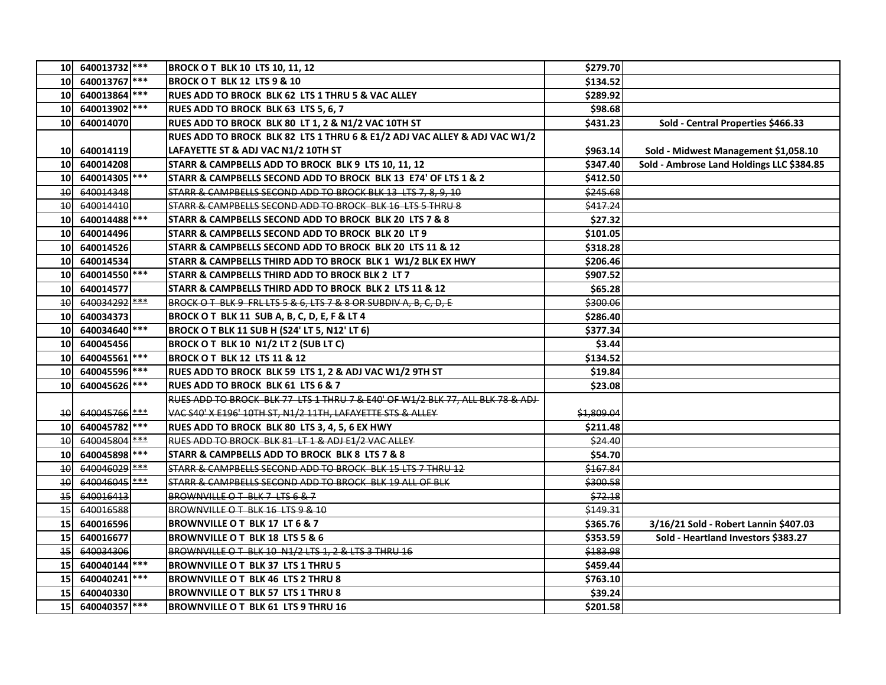|                 | 10 640013732 ***         | <b>BROCK OT BLK 10 LTS 10, 11, 12</b>                                         | \$279.70   |                                           |
|-----------------|--------------------------|-------------------------------------------------------------------------------|------------|-------------------------------------------|
| <b>10</b>       | 640013767                | <b>BROCK OT BLK 12 LTS 9 &amp; 10</b>                                         | \$134.52   |                                           |
| <b>10</b>       | 640013864                | RUES ADD TO BROCK BLK 62 LTS 1 THRU 5 & VAC ALLEY                             | \$289.92   |                                           |
| 10              | 640013902 ***            | RUES ADD TO BROCK BLK 63 LTS 5, 6, 7                                          | \$98.68    |                                           |
| 10              | 640014070                | RUES ADD TO BROCK BLK 80 LT 1, 2 & N1/2 VAC 10TH ST                           | \$431.23   | Sold - Central Properties \$466.33        |
|                 |                          | RUES ADD TO BROCK BLK 82 LTS 1 THRU 6 & E1/2 ADJ VAC ALLEY & ADJ VAC W1/2     |            |                                           |
| <b>10</b>       | 640014119                | LAFAYETTE ST & ADJ VAC N1/2 10TH ST                                           | \$963.14   | Sold - Midwest Management \$1,058.10      |
| 10              | 640014208                | STARR & CAMPBELLS ADD TO BROCK BLK 9 LTS 10, 11, 12                           | \$347.40   | Sold - Ambrose Land Holdings LLC \$384.85 |
| <b>10</b>       | 640014305 ***            | STARR & CAMPBELLS SECOND ADD TO BROCK BLK 13 E74' OF LTS 1 & 2                | \$412.50   |                                           |
| 40              | 640014348                | STARR & CAMPBELLS SECOND ADD TO BROCK BLK 13 LTS 7, 8, 9, 10                  | \$245.68   |                                           |
| 10              | 640014410                | STARR & CAMPBELLS SECOND ADD TO BROCK BLK 16 LTS 5 THRU 8                     | \$417.24   |                                           |
| 10              | 640014488                | STARR & CAMPBELLS SECOND ADD TO BROCK BLK 20 LTS 7 & 8                        | \$27.32    |                                           |
| 10              | 640014496                | STARR & CAMPBELLS SECOND ADD TO BROCK BLK 20 LT 9                             | \$101.05   |                                           |
| 10              | 640014526                | STARR & CAMPBELLS SECOND ADD TO BROCK BLK 20 LTS 11 & 12                      | \$318.28   |                                           |
| 10              | 640014534                | STARR & CAMPBELLS THIRD ADD TO BROCK BLK 1 W1/2 BLK EX HWY                    | \$206.46   |                                           |
| 10              | 640014550 ***            | <b>STARR &amp; CAMPBELLS THIRD ADD TO BROCK BLK 2 LT 7</b>                    | \$907.52   |                                           |
| <b>10</b>       | 640014577                | STARR & CAMPBELLS THIRD ADD TO BROCK BLK 2 LTS 11 & 12                        | \$65.28    |                                           |
| 10              | 640034292 ***            | BROCK OT BLK 9 FRL LTS 5 & 6, LTS 7 & 8 OR SUBDIV A, B, C, D, E               | \$300.06   |                                           |
| 10              | 640034373                | BROCK OT BLK 11 SUB A, B, C, D, E, F & LT 4                                   | \$286.40   |                                           |
| 10              | 640034640 ***            | <b>BROCK O T BLK 11 SUB H (S24' LT 5, N12' LT 6)</b>                          | \$377.34   |                                           |
| 10              | 640045456                | BROCK OT BLK 10 N1/2 LT 2 (SUB LT C)                                          | \$3.44     |                                           |
| 10              | 640045561                | <b>BROCK OT BLK 12 LTS 11 &amp; 12</b>                                        | \$134.52   |                                           |
| 10              | 640045596                | RUES ADD TO BROCK BLK 59 LTS 1, 2 & ADJ VAC W1/2 9TH ST                       | \$19.84    |                                           |
| 10              | 640045626 ***            | <b>RUES ADD TO BROCK BLK 61 LTS 6 &amp; 7</b>                                 | \$23.08    |                                           |
|                 |                          | RUES ADD TO BROCK BLK 77 LTS 1 THRU 7 & E40' OF W1/2 BLK 77, ALL BLK 78 & ADJ |            |                                           |
| 40              | 640045766 <sup>***</sup> | VAC S40' X E196' 10TH ST, N1/2 11TH, LAFAYETTE STS & ALLEY                    | \$1,809.04 |                                           |
| 10              | 640045782 ***            | RUES ADD TO BROCK BLK 80 LTS 3, 4, 5, 6 EX HWY                                | \$211.48   |                                           |
| 10              | 640045804 ***            | RUES ADD TO BROCK BLK 81 LT 1 & ADJ E1/2 VAC ALLEY                            | \$24.40    |                                           |
| 10              | 640045898 ***            | STARR & CAMPBELLS ADD TO BROCK BLK 8 LTS 7 & 8                                | \$54.70    |                                           |
| $\overline{10}$ | 640046029 <sup>***</sup> | STARR & CAMPBELLS SECOND ADD TO BROCK BLK 15 LTS 7 THRU 12                    | \$167.84   |                                           |
| $\overline{10}$ | 640046045                | STARR & CAMPBELLS SECOND ADD TO BROCK BLK 19 ALL OF BLK                       | \$300.58   |                                           |
| $\overline{15}$ | 640016413                | BROWNVILLE O T BLK 7 LTS 6 & 7                                                | \$72.18    |                                           |
| $\overline{45}$ | 640016588                | BROWNVILLE O T BLK 16 LTS 9 & 10                                              | \$149.31   |                                           |
| 15 <sub>l</sub> | 640016596                | <b>BROWNVILLE OT BLK 17 LT 6 &amp; 7</b>                                      | \$365.76   | 3/16/21 Sold - Robert Lannin \$407.03     |
| 15              | 640016677                | <b>BROWNVILLE OT BLK 18 LTS 5 &amp; 6</b>                                     | \$353.59   | Sold - Heartland Investors \$383.27       |
| $\overline{15}$ | 640034306                | BROWNVILLE O T BLK 10 N1/2 LTS 1, 2 & LTS 3 THRU 16                           | \$183.98   |                                           |
| 15              | 640040144                | BROWNVILLE O T BLK 37 LTS 1 THRU 5                                            | \$459.44   |                                           |
| 15              | 640040241 ***            | <b>BROWNVILLE O T BLK 46 LTS 2 THRU 8</b>                                     | \$763.10   |                                           |
| 15              | 640040330                | <b>BROWNVILLE O T BLK 57 LTS 1 THRU 8</b>                                     | \$39.24    |                                           |
| 15              | 640040357 ***            | <b>BROWNVILLE O T BLK 61 LTS 9 THRU 16</b>                                    | \$201.58   |                                           |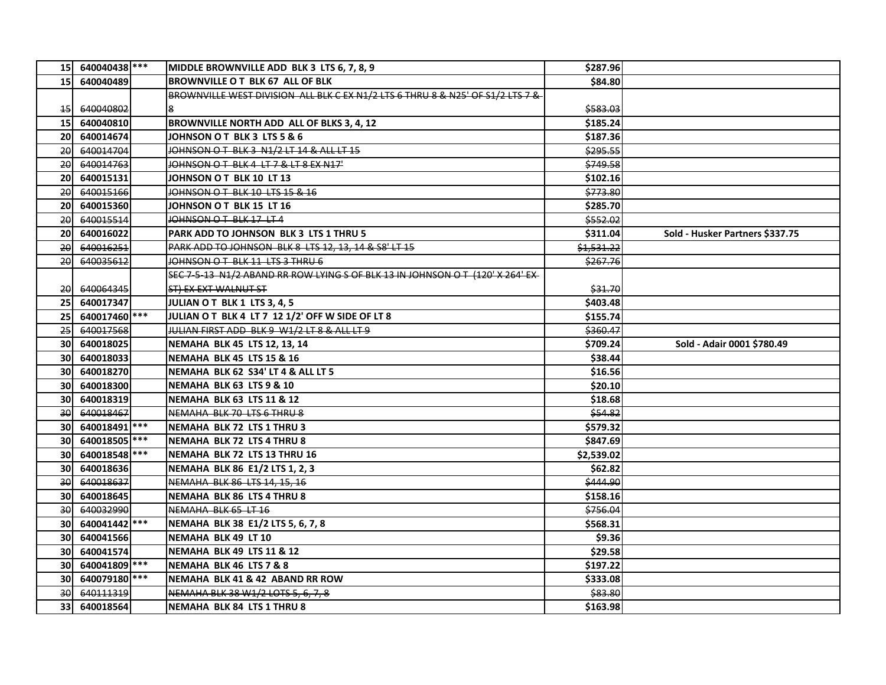|                 | 15 640040438 *** | MIDDLE BROWNVILLE ADD BLK 3 LTS 6, 7, 8, 9                                     | \$287.96   |                                 |
|-----------------|------------------|--------------------------------------------------------------------------------|------------|---------------------------------|
| 15 <sup>1</sup> | 640040489        | <b>BROWNVILLE O T BLK 67 ALL OF BLK</b>                                        | \$84.80    |                                 |
|                 |                  | BROWNVILLE WEST DIVISION ALL BLK C EX N1/2 LTS 6 THRU 8 & N25' OF S1/2 LTS 7 & |            |                                 |
| $+5$            | 640040802        |                                                                                | \$583.03   |                                 |
| 15 <sub>l</sub> | 640040810        | BROWNVILLE NORTH ADD ALL OF BLKS 3, 4, 12                                      | \$185.24   |                                 |
| <b>20</b>       | 640014674        | JOHNSON O T BLK 3 LTS 5 & 6                                                    | \$187.36   |                                 |
| 20              | 640014704        | JOHNSON OT BLK 3 N1/2 LT 14 & ALL LT 15                                        | \$295.55   |                                 |
| 20              | 640014763        | JOHNSON OT BLK 4 LT 7 & LT 8 EX N17'                                           | \$749.58   |                                 |
| <b>20</b>       | 640015131        | JOHNSON OT BLK 10 LT 13                                                        | \$102.16   |                                 |
| 20              | 640015166        | JOHNSON OT BLK 10 LTS 15 & 16                                                  | \$773.80   |                                 |
| <b>20</b>       | 640015360        | JOHNSON O T BLK 15 LT 16                                                       | \$285.70   |                                 |
| 20              | 640015514        | JOHNSON O T BLK 17 LT 4                                                        | \$552.02   |                                 |
| <b>20</b>       | 640016022        | PARK ADD TO JOHNSON BLK 3 LTS 1 THRU 5                                         | \$311.04   | Sold - Husker Partners \$337.75 |
| 20              | 640016251        | PARK ADD TO JOHNSON BLK 8 LTS 12, 13, 14 & S8' LT 15                           | \$1,531.22 |                                 |
| 20              | 640035612        | JOHNSON O T BLK 11 LTS 3 THRU 6                                                | \$267.76   |                                 |
|                 |                  | SEC 7-5-13 N1/2 ABAND RR ROW LYING S OF BLK 13 IN JOHNSON O T (120' X 264' EX- |            |                                 |
| 20              | 640064345        | ST) EX EXT WALNUT ST                                                           | \$31.70    |                                 |
| 25              | 640017347        | JULIAN OT BLK 1 LTS 3, 4, 5                                                    | \$403.48   |                                 |
| 25              | 640017460        | JULIAN OT BLK 4 LT 7 12 1/2' OFF W SIDE OF LT 8                                | \$155.74   |                                 |
| 25              | 640017568        | JULIAN FIRST ADD BLK 9 W1/2 LT 8 & ALL LT 9                                    | \$360.47   |                                 |
| <b>30</b>       | 640018025        | NEMAHA BLK 45 LTS 12, 13, 14                                                   | \$709.24   | Sold - Adair 0001 \$780.49      |
| 30              | 640018033        | <b>NEMAHA BLK 45 LTS 15 &amp; 16</b>                                           | \$38.44    |                                 |
| <b>30</b>       | 640018270        | NEMAHA BLK 62 S34' LT 4 & ALL LT 5                                             | \$16.56    |                                 |
| <b>30</b>       | 640018300        | NEMAHA BLK 63 LTS 9 & 10                                                       | \$20.10    |                                 |
| <b>30</b>       | 640018319        | <b>NEMAHA BLK 63 LTS 11 &amp; 12</b>                                           | \$18.68    |                                 |
| 30              | 640018467        | NEMAHA BLK 70 LTS 6 THRU 8                                                     | \$54.82    |                                 |
|                 | 30 640018491     | <b>NEMAHA BLK 72 LTS 1 THRU 3</b>                                              | \$579.32   |                                 |
| 30l             | 640018505 ***    | <b>NEMAHA BLK 72 LTS 4 THRU 8</b>                                              | \$847.69   |                                 |
| <b>30</b>       | 640018548 ***    | NEMAHA BLK 72 LTS 13 THRU 16                                                   | \$2,539.02 |                                 |
| <b>30</b>       | 640018636        | NEMAHA BLK 86 E1/2 LTS 1, 2, 3                                                 | \$62.82    |                                 |
| 30              | 640018637        | NEMAHA BLK 86 LTS 14, 15, 16                                                   | \$444.90   |                                 |
| <b>30</b>       | 640018645        | NEMAHA BLK 86 LTS 4 THRU 8                                                     | \$158.16   |                                 |
| 30              | 640032990        | NEMAHA BLK 65 LT 16                                                            | \$756.04   |                                 |
|                 | 30 640041442 *** | NEMAHA BLK 38 E1/2 LTS 5, 6, 7, 8                                              | \$568.31   |                                 |
| 30I             | 640041566        | <b>NEMAHA BLK 49 LT 10</b>                                                     | \$9.36     |                                 |
| <b>30</b>       | 640041574        | <b>NEMAHA BLK 49 LTS 11 &amp; 12</b>                                           | \$29.58    |                                 |
| <b>30</b>       | 640041809        | NEMAHA BLK 46 LTS 7 & 8                                                        | \$197.22   |                                 |
| <b>30</b>       | 640079180 ***    | NEMAHA BLK 41 & 42 ABAND RR ROW                                                | \$333.08   |                                 |
| 30              | 640111319        | NEMAHA BLK 38 W1/2 LOTS 5, 6, 7, 8                                             | \$83.80    |                                 |
| 33              | 640018564        | <b>NEMAHA BLK 84 LTS 1 THRU 8</b>                                              | \$163.98   |                                 |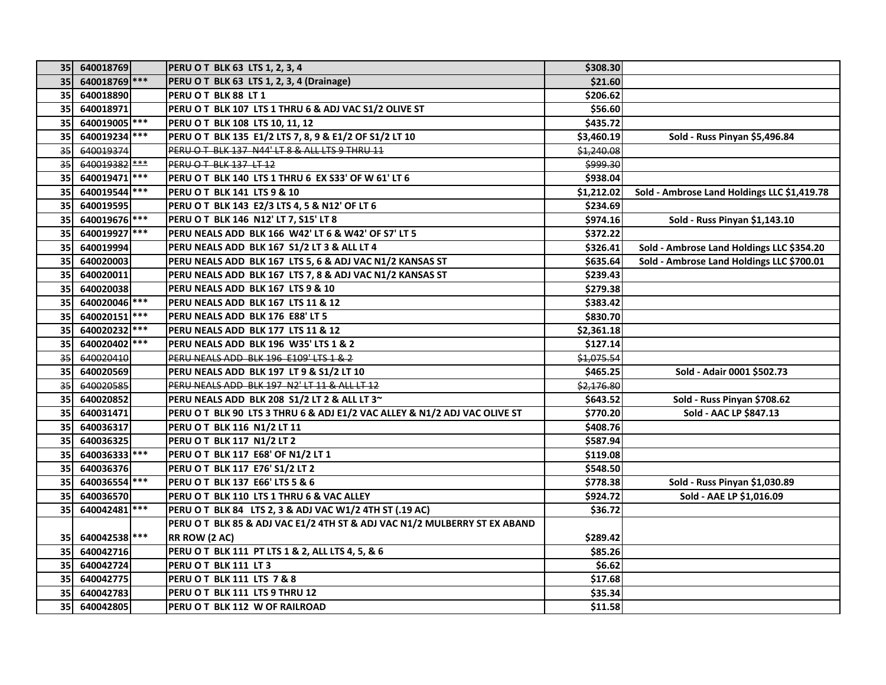| <b>351</b>      | 640018769       | <b>PERU OT BLK 63 LTS 1, 2, 3, 4</b>                                      | \$308.30   |                                             |
|-----------------|-----------------|---------------------------------------------------------------------------|------------|---------------------------------------------|
| 35              | 640018769 ***   | PERU O T BLK 63 LTS 1, 2, 3, 4 (Drainage)                                 | \$21.60    |                                             |
| 35I             | 640018890       | PERU OT BLK 88 LT 1                                                       | \$206.62   |                                             |
| 35              | 640018971       | PERU O T BLK 107 LTS 1 THRU 6 & ADJ VAC S1/2 OLIVE ST                     | \$56.60    |                                             |
| 35              | 640019005       | PERU OT BLK 108 LTS 10, 11, 12                                            | \$435.72   |                                             |
| 35              | 640019234 ***   | PERU O T BLK 135 E1/2 LTS 7, 8, 9 & E1/2 OF S1/2 LT 10                    | \$3,460.19 | Sold - Russ Pinyan \$5,496.84               |
| 35              | 640019374       | PERU O T BLK 137 N44' LT 8 & ALL LTS 9 THRU 11                            | \$1,240.08 |                                             |
| 35              | $640019382$ *** | PERU OT BLK 137 LT 12                                                     | \$999.30   |                                             |
| 35              | 640019471 ***   | PERU O T BLK 140 LTS 1 THRU 6 EX S33' OF W 61' LT 6                       | \$938.04   |                                             |
| <b>35</b>       | 640019544 ***   | <b>PERU O T BLK 141 LTS 9 &amp; 10</b>                                    | \$1,212.02 | Sold - Ambrose Land Holdings LLC \$1,419.78 |
| 35              | 640019595       | PERU OT BLK 143 E2/3 LTS 4, 5 & N12' OF LT 6                              | \$234.69   |                                             |
| 35              | 640019676       | PERU OT BLK 146 N12' LT 7, S15' LT 8                                      | \$974.16   | Sold - Russ Pinyan \$1,143.10               |
| 35              | 640019927 ***   | PERU NEALS ADD BLK 166 W42' LT 6 & W42' OF S7' LT 5                       | \$372.22   |                                             |
| 35              | 640019994       | PERU NEALS ADD BLK 167 S1/2 LT 3 & ALL LT 4                               | \$326.41   | Sold - Ambrose Land Holdings LLC \$354.20   |
| 35              | 640020003       | PERU NEALS ADD BLK 167 LTS 5, 6 & ADJ VAC N1/2 KANSAS ST                  | \$635.64   | Sold - Ambrose Land Holdings LLC \$700.01   |
| 35              | 640020011       | PERU NEALS ADD BLK 167 LTS 7, 8 & ADJ VAC N1/2 KANSAS ST                  | \$239.43   |                                             |
| 35              | 640020038       | PERU NEALS ADD BLK 167 LTS 9 & 10                                         | \$279.38   |                                             |
| <b>35</b>       | 640020046       | PERU NEALS ADD BLK 167 LTS 11 & 12                                        | \$383.42   |                                             |
| 35              | 640020151 ***   | PERU NEALS ADD BLK 176 E88' LT 5                                          | \$830.70   |                                             |
| 35              | 640020232       | PERU NEALS ADD BLK 177 LTS 11 & 12                                        | \$2,361.18 |                                             |
| 35              | 640020402       | PERU NEALS ADD BLK 196 W35' LTS 1 & 2                                     | \$127.14   |                                             |
| 35              | 640020410       | PERU NEALS ADD BLK 196 E109' LTS 1 & 2                                    | \$1,075.54 |                                             |
| 35              | 640020569       | PERU NEALS ADD BLK 197 LT 9 & S1/2 LT 10                                  | \$465.25   | Sold - Adair 0001 \$502.73                  |
| 35              | 640020585       | PERU NEALS ADD BLK 197 N2' LT 11 & ALL LT 12                              | \$2,176.80 |                                             |
| <b>35</b>       | 640020852       | PERU NEALS ADD BLK 208 S1/2 LT 2 & ALL LT 3~                              | \$643.52   | Sold - Russ Pinyan \$708.62                 |
| 35I             | 640031471       | PERU O T BLK 90 LTS 3 THRU 6 & ADJ E1/2 VAC ALLEY & N1/2 ADJ VAC OLIVE ST | \$770.20   | Sold - AAC LP \$847.13                      |
| 35 <sub>1</sub> | 640036317       | PERU OT BLK 116 N1/2 LT 11                                                | \$408.76   |                                             |
| 35              | 640036325       | PERU OT BLK 117 N1/2 LT 2                                                 | \$587.94   |                                             |
| 35              | 640036333 ***   | PERU OT BLK 117 E68' OF N1/2 LT 1                                         | \$119.08   |                                             |
| 35              | 640036376       | PERU OT BLK 117 E76' S1/2 LT 2                                            | \$548.50   |                                             |
| 35              | 640036554       | PERU O T BLK 137 E66' LTS 5 & 6                                           | \$778.38   | Sold - Russ Pinyan \$1,030.89               |
| 35              | 640036570       | PERU OT BLK 110 LTS 1 THRU 6 & VAC ALLEY                                  | \$924.72   | Sold - AAE LP \$1,016.09                    |
| <b>35</b>       | 640042481 ***   | PERU O T BLK 84 LTS 2, 3 & ADJ VAC W1/2 4TH ST (.19 AC)                   | \$36.72    |                                             |
|                 |                 | PERU O T BLK 85 & ADJ VAC E1/2 4TH ST & ADJ VAC N1/2 MULBERRY ST EX ABAND |            |                                             |
| 35              | 640042538 ***   | RR ROW (2 AC)                                                             | \$289.42   |                                             |
| 35              | 640042716       | PERU OT BLK 111 PT LTS 1 & 2, ALL LTS 4, 5, & 6                           | \$85.26    |                                             |
| 35              | 640042724       | PERU OT BLK 111 LT 3                                                      | \$6.62     |                                             |
| 35              | 640042775       | PERU OT BLK 111 LTS 7 & 8                                                 | \$17.68    |                                             |
| 35              | 640042783       | PERU OT BLK 111 LTS 9 THRU 12                                             | \$35.34    |                                             |
| 35              | 640042805       | PERU OT BLK 112 W OF RAILROAD                                             | \$11.58    |                                             |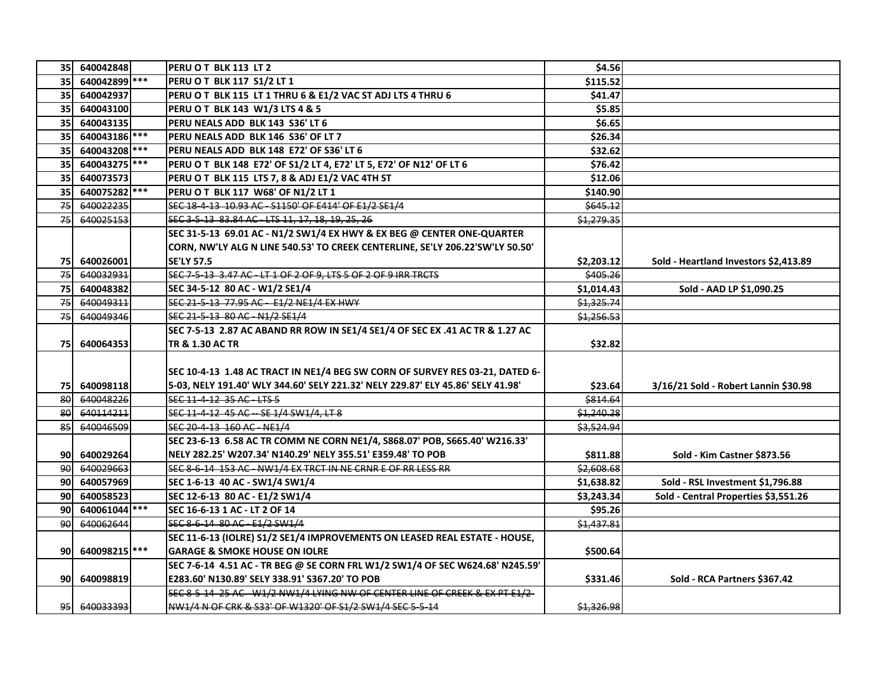| 35              | 640042848     | PERU OT BLK 113 LT 2                                                            | \$4.56              |                                       |
|-----------------|---------------|---------------------------------------------------------------------------------|---------------------|---------------------------------------|
| 35              | 640042899 *** | PERU OT BLK 117 S1/2 LT 1                                                       | \$115.52            |                                       |
| 35 <sub>l</sub> | 640042937     | PERU O T BLK 115 LT 1 THRU 6 & E1/2 VAC ST ADJ LTS 4 THRU 6                     | \$41.47             |                                       |
| <b>35</b>       | 640043100     | PERU OT BLK 143 W1/3 LTS 4 & 5                                                  | \$5.85              |                                       |
| 35              | 640043135     | PERU NEALS ADD BLK 143 S36' LT 6                                                | \$6.65              |                                       |
| 35 <sub>l</sub> | 640043186     | PERU NEALS ADD BLK 146 S36' OF LT 7                                             | \$26.34             |                                       |
| 35              | 640043208 *** | PERU NEALS ADD BLK 148 E72' OF S36' LT 6                                        | \$32.62             |                                       |
| 35              | 640043275 *** | PERU O T BLK 148 E72' OF S1/2 LT 4, E72' LT 5, E72' OF N12' OF LT 6             | \$76.42             |                                       |
| 35              | 640073573     | PERU OT BLK 115 LTS 7, 8 & ADJ E1/2 VAC 4TH ST                                  | \$12.06             |                                       |
| 35              | 640075282 *** | PERU OT BLK 117 W68' OF N1/2 LT 1                                               | \$140.90            |                                       |
| 75              | 640022235     | SEC 18-4-13 10.93 AC - S1150' OF E414' OF E1/2 SE1/4                            | <del>\$645.12</del> |                                       |
| 75              | 640025153     | SEC 3-5-13 83.84 AC - LTS 11, 17, 18, 19, 25, 26                                | \$1,279.35          |                                       |
|                 |               | SEC 31-5-13 69.01 AC - N1/2 SW1/4 EX HWY & EX BEG @ CENTER ONE-QUARTER          |                     |                                       |
|                 |               | CORN, NW'LY ALG N LINE 540.53' TO CREEK CENTERLINE, SE'LY 206.22'SW'LY 50.50'   |                     |                                       |
| 75              | 640026001     | <b>SE'LY 57.5</b>                                                               | \$2,203.12          | Sold - Heartland Investors \$2,413.89 |
| 75              | 640032931     | SEC 7-5-13 3.47 AC - LT 1 OF 2 OF 9, LTS 5 OF 2 OF 9 IRR TRCTS                  | \$405.26            |                                       |
| 75              | 640048382     | SEC 34-5-12 80 AC - W1/2 SE1/4                                                  | \$1,014.43          | Sold - AAD LP \$1,090.25              |
| 75              | 640049311     | SEC 21-5-13 77.95 AC - E1/2 NE1/4 EX HWY                                        | \$1,325.74          |                                       |
| 75              | 640049346     | SEC 21-5-13 80 AC - N1/2 SE1/4                                                  | \$1,256.53          |                                       |
|                 |               | SEC 7-5-13 2.87 AC ABAND RR ROW IN SE1/4 SE1/4 OF SEC EX .41 AC TR & 1.27 AC    |                     |                                       |
| 75              | 640064353     | TR & 1.30 AC TR                                                                 | \$32.82             |                                       |
|                 |               |                                                                                 |                     |                                       |
|                 |               | SEC 10-4-13 1.48 AC TRACT IN NE1/4 BEG SW CORN OF SURVEY RES 03-21, DATED 6-    |                     |                                       |
| 75              | 640098118     | 5-03, NELY 191.40' WLY 344.60' SELY 221.32' NELY 229.87' ELY 45.86' SELY 41.98' | \$23.64             | 3/16/21 Sold - Robert Lannin \$30.98  |
| 80              | 640048226     | SEC 11-4-12-35 AC-LTS-5                                                         | \$814.64            |                                       |
| 80              | 640114211     | SEC 11-4-12 45 AC - SE 1/4 SW1/4. LT 8                                          | \$1,240.28          |                                       |
| 85              | 640046509     | SEC 20-4-13-160 AC-NE1/4                                                        | \$3,524.94          |                                       |
|                 |               | SEC 23-6-13 6.58 AC TR COMM NE CORN NE1/4, S868.07' POB, S665.40' W216.33'      |                     |                                       |
| 90              | 640029264     | NELY 282.25' W207.34' N140.29' NELY 355.51' E359.48' TO POB                     | \$811.88            | Sold - Kim Castner \$873.56           |
| 90              | 640029663     | SEC 8-6-14 153 AC - NW1/4 EX TRCT IN NE CRNR E OF RR LESS RR                    | \$2,608.68          |                                       |
| <b>90</b>       | 640057969     | SEC 1-6-13 40 AC - SW1/4 SW1/4                                                  | \$1,638.82          | Sold - RSL Investment \$1,796.88      |
| 90              | 640058523     | SEC 12-6-13 80 AC - E1/2 SW1/4                                                  | \$3,243.34          | Sold - Central Properties \$3,551.26  |
| 90              | 640061044 *** | SEC 16-6-13 1 AC - LT 2 OF 14                                                   | \$95.26             |                                       |
| 90              | 640062644     | SEC 8-6-14 80 AC - E1/2 SW1/4                                                   | \$1,437.81          |                                       |
|                 |               | SEC 11-6-13 (IOLRE) S1/2 SE1/4 IMPROVEMENTS ON LEASED REAL ESTATE - HOUSE,      |                     |                                       |
| <b>90l</b>      | 640098215 *** | <b>GARAGE &amp; SMOKE HOUSE ON IOLRE</b>                                        | \$500.64            |                                       |
|                 |               | SEC 7-6-14 4.51 AC - TR BEG @ SE CORN FRL W1/2 SW1/4 OF SEC W624.68' N245.59'   |                     |                                       |
| <b>90l</b>      | 640098819     | E283.60' N130.89' SELY 338.91' S367.20' TO POB                                  | \$331.46            | Sold - RCA Partners \$367.42          |
|                 |               | SEC 8-5-14-25 AC - W1/2 NW1/4 LYING NW OF CENTER LINE OF CREEK & EX PT E1/2-    |                     |                                       |
| 95              | 640033393     | NW1/4 N OF CRK & S33' OF W1320' OF S1/2 SW1/4 SEC 5-5-14                        | \$1,326.98          |                                       |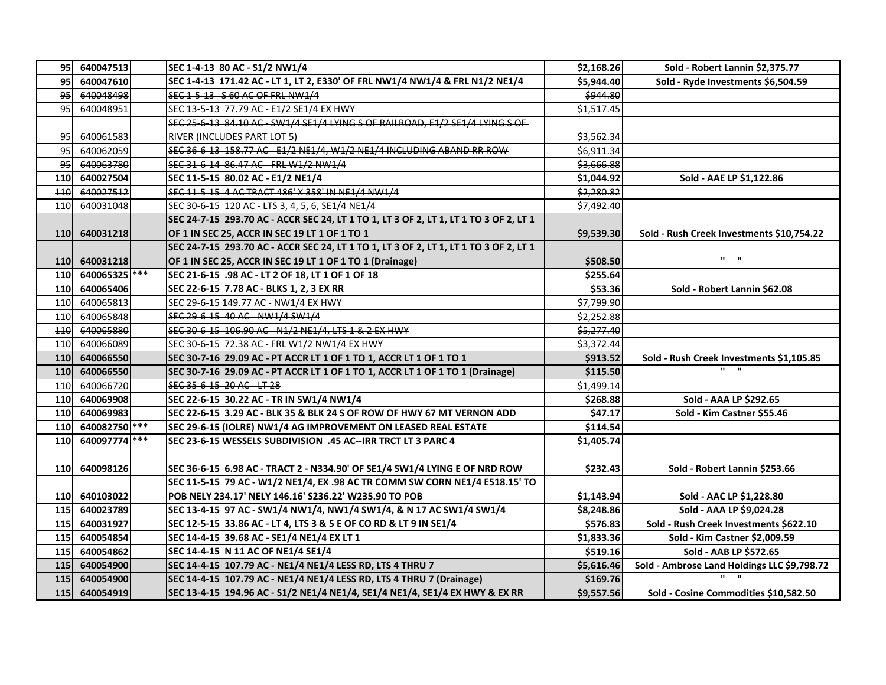| 95         | 640047513     | SEC 1-4-13 80 AC - S1/2 NW1/4                                                         | \$2,168.26            | Sold - Robert Lannin \$2,375.77             |
|------------|---------------|---------------------------------------------------------------------------------------|-----------------------|---------------------------------------------|
| 95         | 640047610     | SEC 1-4-13 171.42 AC - LT 1, LT 2, E330' OF FRL NW1/4 NW1/4 & FRL N1/2 NE1/4          | \$5,944.40            | Sold - Ryde Investments \$6,504.59          |
| 95         | 640048498     | SEC 1-5-13 - S 60 AC OF FRL NW1/4                                                     | \$944.80              |                                             |
| 95         | 640048951     | SEC 13-5-13 77.79 AC - E1/2 SE1/4 EX HWY                                              | \$1,517.45            |                                             |
|            |               | SEC 25-6-13 84.10 AC - SW1/4 SE1/4 LYING S OF RAILROAD, E1/2 SE1/4 LYING S OF         |                       |                                             |
| 95         | 640061583     | RIVER (INCLUDES PART LOT 5)                                                           | <del>\$3,562.34</del> |                                             |
| 95         | 640062059     | SEC 36-6-13 158.77 AC - E1/2 NE1/4, W1/2 NE1/4 INCLUDING ABAND RR ROW                 | \$6,911.34            |                                             |
| 95         | 640063780     | SEC 31-6-14 86.47 AC - FRL W1/2 NW1/4                                                 | \$3,666.88            |                                             |
| 110        | 640027504     | SEC 11-5-15 80.02 AC - E1/2 NE1/4                                                     | \$1,044.92            | Sold - AAE LP \$1,122.86                    |
| 110        | 640027512     | SEC 11-5-15 4 AC TRACT 486' X 358' IN NE1/4 NW1/4                                     | \$2,280.82            |                                             |
| 440        | 640031048     | SEC 30-6-15 120 AC - LTS 3, 4, 5, 6, SE1/4 NE1/4                                      | \$7,492.40            |                                             |
|            |               | SEC 24-7-15 293.70 AC - ACCR SEC 24, LT 1 TO 1, LT 3 OF 2, LT 1, LT 1 TO 3 OF 2, LT 1 |                       |                                             |
| <b>110</b> | 640031218     | OF 1 IN SEC 25, ACCR IN SEC 19 LT 1 OF 1 TO 1                                         | \$9,539.30            | Sold - Rush Creek Investments \$10,754.22   |
|            |               | SEC 24-7-15 293.70 AC - ACCR SEC 24, LT 1 TO 1, LT 3 OF 2, LT 1, LT 1 TO 3 OF 2, LT 1 |                       |                                             |
| <b>110</b> | 640031218     | OF 1 IN SEC 25, ACCR IN SEC 19 LT 1 OF 1 TO 1 (Drainage)                              | \$508.50              | $\mathbf{u} = \mathbf{u}$                   |
| <b>110</b> | 640065325 *** | SEC 21-6-15 .98 AC - LT 2 OF 18, LT 1 OF 1 OF 18                                      | \$255.64              |                                             |
| 110        | 640065406     | SEC 22-6-15 7.78 AC - BLKS 1, 2, 3 EX RR                                              | \$53.36               | Sold - Robert Lannin \$62.08                |
| 110        | 640065813     | SEC 29 6-15 149.77 AC - NW1/4 EX HWY                                                  | \$7,799.90            |                                             |
| 110        | 640065848     | SEC 29 6 15 40 AC NW1/4 SW1/4                                                         | \$2,252.88            |                                             |
| 110        | 640065880     | SEC 30-6-15-106.90 AC-N1/2 NE1/4, LTS 1 & 2 EX HWY                                    | \$5,277.40            |                                             |
| 110        | 640066089     | SEC 30 6-15 72.38 AC - FRL W1/2 NW1/4 EX HWY                                          | \$3,372.44            |                                             |
| <b>110</b> | 640066550     | SEC 30-7-16 29.09 AC - PT ACCR LT 1 OF 1 TO 1, ACCR LT 1 OF 1 TO 1                    | \$913.52              | Sold - Rush Creek Investments \$1,105.85    |
| 110        | 640066550     | SEC 30-7-16 29.09 AC - PT ACCR LT 1 OF 1 TO 1, ACCR LT 1 OF 1 TO 1 (Drainage)         | \$115.50              |                                             |
| 110        | 640066720     | SEC 35-6-15-20 AC-LT-28                                                               | \$1,499.14            |                                             |
| 110        | 640069908     | SEC 22-6-15 30.22 AC - TR IN SW1/4 NW1/4                                              | \$268.88              | Sold - AAA LP \$292.65                      |
| 110        | 640069983     | SEC 22-6-15 3.29 AC - BLK 35 & BLK 24 S OF ROW OF HWY 67 MT VERNON ADD                | \$47.17               | Sold - Kim Castner \$55.46                  |
| 110        | 640082750     | SEC 29-6-15 (IOLRE) NW1/4 AG IMPROVEMENT ON LEASED REAL ESTATE                        | \$114.54              |                                             |
| 110        | 640097774     | SEC 23-6-15 WESSELS SUBDIVISION .45 AC--IRR TRCT LT 3 PARC 4                          | \$1,405.74            |                                             |
|            |               |                                                                                       |                       |                                             |
| 110        | 640098126     | SEC 36-6-15 6.98 AC - TRACT 2 - N334.90' OF SE1/4 SW1/4 LYING E OF NRD ROW            | \$232.43              | Sold - Robert Lannin \$253.66               |
|            |               | SEC 11-5-15 79 AC - W1/2 NE1/4, EX .98 AC TR COMM SW CORN NE1/4 E518.15' TO           |                       |                                             |
| 110        | 640103022     | POB NELY 234.17' NELY 146.16' S236.22' W235.90 TO POB                                 | \$1,143.94            | Sold - AAC LP \$1,228.80                    |
| <b>115</b> | 640023789     | SEC 13-4-15 97 AC - SW1/4 NW1/4, NW1/4 SW1/4, & N 17 AC SW1/4 SW1/4                   | \$8,248.86            | Sold - AAA LP \$9,024.28                    |
| <b>115</b> | 640031927     | SEC 12-5-15 33.86 AC - LT 4, LTS 3 & 5 E OF CO RD & LT 9 IN SE1/4                     | \$576.83              | Sold - Rush Creek Investments \$622.10      |
| <b>115</b> | 640054854     | SEC 14-4-15 39.68 AC - SE1/4 NE1/4 EX LT 1                                            | \$1,833.36            | Sold - Kim Castner \$2,009.59               |
| 115        | 640054862     | SEC 14-4-15 N 11 AC OF NE1/4 SE1/4                                                    | \$519.16              | Sold - AAB LP \$572.65                      |
| 115        | 640054900     | SEC 14-4-15 107.79 AC - NE1/4 NE1/4 LESS RD, LTS 4 THRU 7                             | \$5,616.46            | Sold - Ambrose Land Holdings LLC \$9,798.72 |
| 115        | 640054900     | SEC 14-4-15 107.79 AC - NE1/4 NE1/4 LESS RD, LTS 4 THRU 7 (Drainage)                  | \$169.76              | $\mathbf{u}$ $\mathbf{u}$                   |
| 115        | 640054919     | SEC 13-4-15 194.96 AC - S1/2 NE1/4 NE1/4, SE1/4 NE1/4, SE1/4 EX HWY & EX RR           | \$9,557.56            | Sold - Cosine Commodities \$10,582.50       |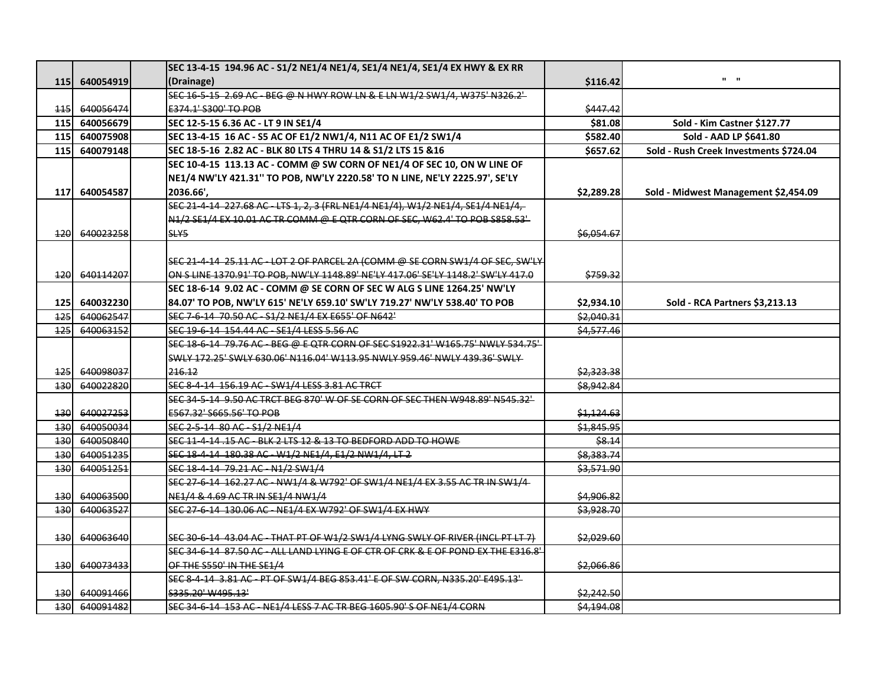|            |           | SEC 13-4-15 194.96 AC - S1/2 NE1/4 NE1/4, SE1/4 NE1/4, SE1/4 EX HWY & EX RR       |            |                                        |
|------------|-----------|-----------------------------------------------------------------------------------|------------|----------------------------------------|
| 115        | 640054919 | (Drainage)                                                                        | \$116.42   | $\mathbf{u} = \mathbf{u}$              |
|            |           | SEC 16-5-15-2.69 AC BEG @ N HWY ROW LN & E LN W1/2 SW1/4, W375' N326.2'           |            |                                        |
| 115        | 640056474 | E374.1' S300' TO POB                                                              | \$447.42   |                                        |
| <b>115</b> | 640056679 | SEC 12-5-15 6.36 AC - LT 9 IN SE1/4                                               | \$81.08    | Sold - Kim Castner \$127.77            |
| 115        | 640075908 | SEC 13-4-15 16 AC - S5 AC OF E1/2 NW1/4, N11 AC OF E1/2 SW1/4                     | \$582.40   | Sold - AAD LP \$641.80                 |
| 115        | 640079148 | SEC 18-5-16 2.82 AC - BLK 80 LTS 4 THRU 14 & S1/2 LTS 15 & 16                     | \$657.62   | Sold - Rush Creek Investments \$724.04 |
|            |           | SEC 10-4-15 113.13 AC - COMM @ SW CORN OF NE1/4 OF SEC 10, ON W LINE OF           |            |                                        |
|            |           | NE1/4 NW'LY 421.31" TO POB, NW'LY 2220.58' TO N LINE, NE'LY 2225.97', SE'LY       |            |                                        |
| 117        | 640054587 | 2036.66'.                                                                         | \$2,289.28 | Sold - Midwest Management \$2,454.09   |
|            |           | SEC 21-4-14 227.68 AC - LTS 1, 2, 3 (FRL NE1/4 NE1/4), W1/2 NE1/4, SE1/4 NE1/4,   |            |                                        |
|            |           | N1/2 SE1/4 EX 10.01 AC TR COMM @ E QTR CORN OF SEC, W62.4' TO POB S858.53'        |            |                                        |
| 120        | 640023258 | SLY5                                                                              | \$6,054.67 |                                        |
|            |           |                                                                                   |            |                                        |
|            |           | SEC 21-4-14-25.11 AC-LOT 2 OF PARCEL 2A (COMM @ SE CORN SW1/4 OF SEC, SW'LY       |            |                                        |
| 120        | 640114207 | ON S LINE 1370.91' TO POB, NW'LY 1148.89' NE'LY 417.06' SE'LY 1148.2' SW'LY 417.0 | \$759.32   |                                        |
|            |           | SEC 18-6-14 9.02 AC - COMM @ SE CORN OF SEC W ALG S LINE 1264.25' NW'LY           |            |                                        |
| 125        | 640032230 | 84.07' TO POB, NW'LY 615' NE'LY 659.10' SW'LY 719.27' NW'LY 538.40' TO POB        | \$2,934.10 | Sold - RCA Partners \$3,213.13         |
| 125        | 640062547 | SEC 7-6-14 70.50 AC - S1/2 NE1/4 EX E655' OF N642'                                | \$2,040.31 |                                        |
| 125        | 640063152 | SEC 19 6 14 154.44 AC - SE1/4 LESS 5.56 AC                                        | \$4,577.46 |                                        |
|            |           | SEC 18 6 14 79.76 AC BEG @ E QTR CORN OF SEC S1922.31' W165.75' NWLY 534.75'      |            |                                        |
|            |           | SWLY 172.25' SWLY 630.06' N116.04' W113.95 NWLY 959.46' NWLY 439.36' SWLY         |            |                                        |
| 125        | 640098037 | 216.12                                                                            | \$2,323.38 |                                        |
| 130        | 640022820 | SEC 8-4-14-156.19 AC - SW1/4 LESS 3.81 AC TRCT                                    | \$8,942.84 |                                        |
|            |           | SEC 34-5-14-9.50 AC TRCT BEG 870' W OF SE CORN OF SEC THEN W948.89' N545.32'      |            |                                        |
| 130        | 640027253 | E567.32' S665.56' TO POB                                                          | \$1,124.63 |                                        |
| 130        | 640050034 | SEC 2-5-14 80 AC - S1/2 NE1/4                                                     | \$1,845.95 |                                        |
| 130        | 640050840 | SEC 11-4-14 .15 AC - BLK 2 LTS 12 & 13 TO BEDFORD ADD TO HOWE                     | \$8.14     |                                        |
| 130        | 640051235 | SEC 18-4-14 180.38 AC - W1/2 NE1/4, E1/2 NW1/4, LT 2                              | \$8,383.74 |                                        |
| 130        | 640051251 | SEC 18-4-14 79.21 AC - N1/2 SW1/4                                                 | \$3,571.90 |                                        |
|            |           | SEC 27-6-14 162.27 AC - NW1/4 & W792' OF SW1/4 NE1/4 EX 3.55 AC TR IN SW1/4       |            |                                        |
| 130        | 640063500 | NE1/4 & 4.69 AC TR IN SE1/4 NW1/4                                                 | \$4,906.82 |                                        |
| 130        | 640063527 | SEC 27-6-14 130.06 AC - NE1/4 EX W792' OF SW1/4 EX HWY                            | \$3,928.70 |                                        |
|            |           |                                                                                   |            |                                        |
| 130        | 640063640 | SEC 30-6-14 43.04 AC - THAT PT OF W1/2 SW1/4 LYNG SWLY OF RIVER (INCL PT LT 7)    | \$2,029.60 |                                        |
|            |           | SEC 34-6-14 87.50 AC - ALL LAND LYING E OF CTR OF CRK & E OF POND EX THE E316.8'  |            |                                        |
| 130        | 640073433 | OF THE S550' IN THE SE1/4                                                         | \$2,066.86 |                                        |
|            |           | SEC 8-4-14 3.81 AC - PT OF SW1/4 BEG 853.41' E OF SW CORN, N335.20' E495.13'      |            |                                        |
| 130        | 640091466 | \$335.20' W495.13'                                                                | \$2,242.50 |                                        |
| 130l       | 640091482 | SEC 34 6 14 153 AC - NE1/4 LESS 7 AC TR BEG 1605.90' S OF NE1/4 CORN              | \$4,194.08 |                                        |